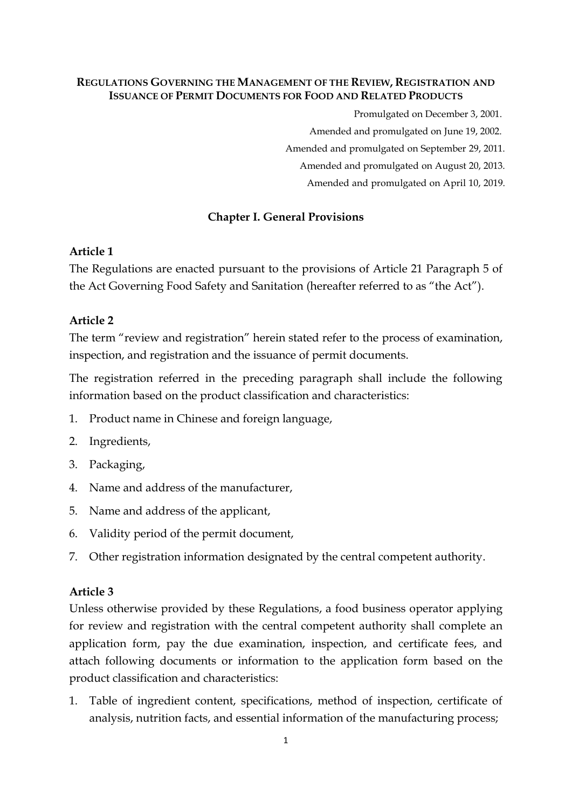#### **REGULATIONS GOVERNING THE MANAGEMENT OF THE REVIEW, REGISTRATION AND ISSUANCE OF PERMIT DOCUMENTS FOR FOOD AND RELATED PRODUCTS**

Promulgated on December 3, 2001.

Amended and promulgated on June 19, 2002.

Amended and promulgated on September 29, 2011.

Amended and promulgated on August 20, 2013.

Amended and promulgated on April 10, 2019.

#### **Chapter I. General Provisions**

#### **Article 1**

The Regulations are enacted pursuant to the provisions of Article 21 Paragraph 5 of the Act Governing Food Safety and Sanitation (hereafter referred to as "the Act").

#### **Article 2**

The term "review and registration" herein stated refer to the process of examination, inspection, and registration and the issuance of permit documents.

The registration referred in the preceding paragraph shall include the following information based on the product classification and characteristics:

- 1. Product name in Chinese and foreign language,
- 2. Ingredients,
- 3. Packaging,
- 4. Name and address of the manufacturer,
- 5. Name and address of the applicant,
- 6. Validity period of the permit document,
- 7. Other registration information designated by the central competent authority.

#### **Article 3**

Unless otherwise provided by these Regulations, a food business operator applying for review and registration with the central competent authority shall complete an application form, pay the due examination, inspection, and certificate fees, and attach following documents or information to the application form based on the product classification and characteristics:

1. Table of ingredient content, specifications, method of inspection, certificate of analysis, nutrition facts, and essential information of the manufacturing process;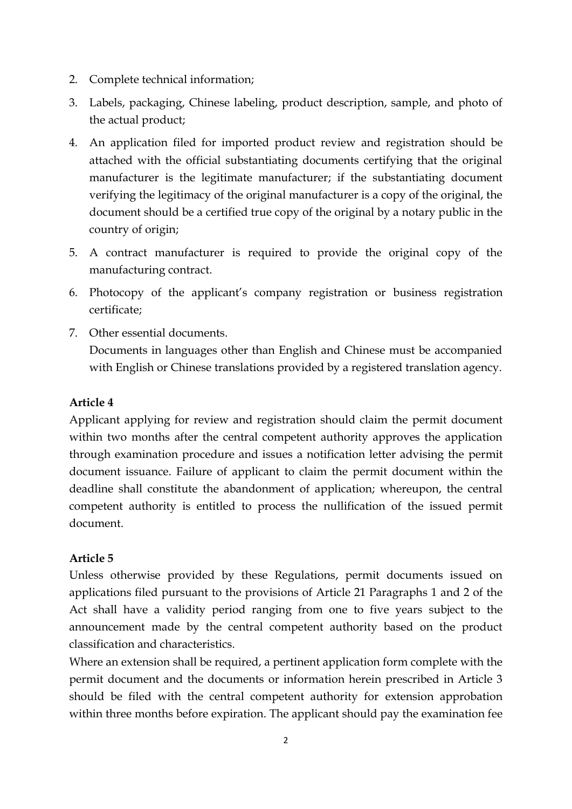- 2. Complete technical information;
- 3. Labels, packaging, Chinese labeling, product description, sample, and photo of the actual product;
- 4. An application filed for imported product review and registration should be attached with the official substantiating documents certifying that the original manufacturer is the legitimate manufacturer; if the substantiating document verifying the legitimacy of the original manufacturer is a copy of the original, the document should be a certified true copy of the original by a notary public in the country of origin;
- 5. A contract manufacturer is required to provide the original copy of the manufacturing contract.
- 6. Photocopy of the applicant's company registration or business registration certificate;
- 7. Other essential documents. Documents in languages other than English and Chinese must be accompanied with English or Chinese translations provided by a registered translation agency.

## **Article 4**

Applicant applying for review and registration should claim the permit document within two months after the central competent authority approves the application through examination procedure and issues a notification letter advising the permit document issuance. Failure of applicant to claim the permit document within the deadline shall constitute the abandonment of application; whereupon, the central competent authority is entitled to process the nullification of the issued permit document.

## **Article 5**

Unless otherwise provided by these Regulations, permit documents issued on applications filed pursuant to the provisions of Article 21 Paragraphs 1 and 2 of the Act shall have a validity period ranging from one to five years subject to the announcement made by the central competent authority based on the product classification and characteristics.

Where an extension shall be required, a pertinent application form complete with the permit document and the documents or information herein prescribed in Article 3 should be filed with the central competent authority for extension approbation within three months before expiration. The applicant should pay the examination fee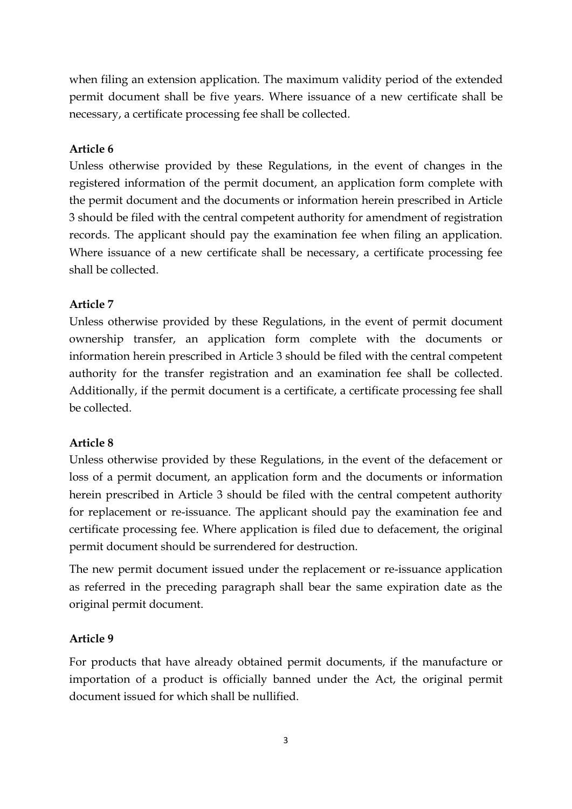when filing an extension application. The maximum validity period of the extended permit document shall be five years. Where issuance of a new certificate shall be necessary, a certificate processing fee shall be collected.

## **Article 6**

Unless otherwise provided by these Regulations, in the event of changes in the registered information of the permit document, an application form complete with the permit document and the documents or information herein prescribed in Article 3 should be filed with the central competent authority for amendment of registration records. The applicant should pay the examination fee when filing an application. Where issuance of a new certificate shall be necessary, a certificate processing fee shall be collected.

## **Article 7**

Unless otherwise provided by these Regulations, in the event of permit document ownership transfer, an application form complete with the documents or information herein prescribed in Article 3 should be filed with the central competent authority for the transfer registration and an examination fee shall be collected. Additionally, if the permit document is a certificate, a certificate processing fee shall be collected.

## **Article 8**

Unless otherwise provided by these Regulations, in the event of the defacement or loss of a permit document, an application form and the documents or information herein prescribed in Article 3 should be filed with the central competent authority for replacement or re-issuance. The applicant should pay the examination fee and certificate processing fee. Where application is filed due to defacement, the original permit document should be surrendered for destruction.

The new permit document issued under the replacement or re-issuance application as referred in the preceding paragraph shall bear the same expiration date as the original permit document.

# **Article 9**

For products that have already obtained permit documents, if the manufacture or importation of a product is officially banned under the Act, the original permit document issued for which shall be nullified.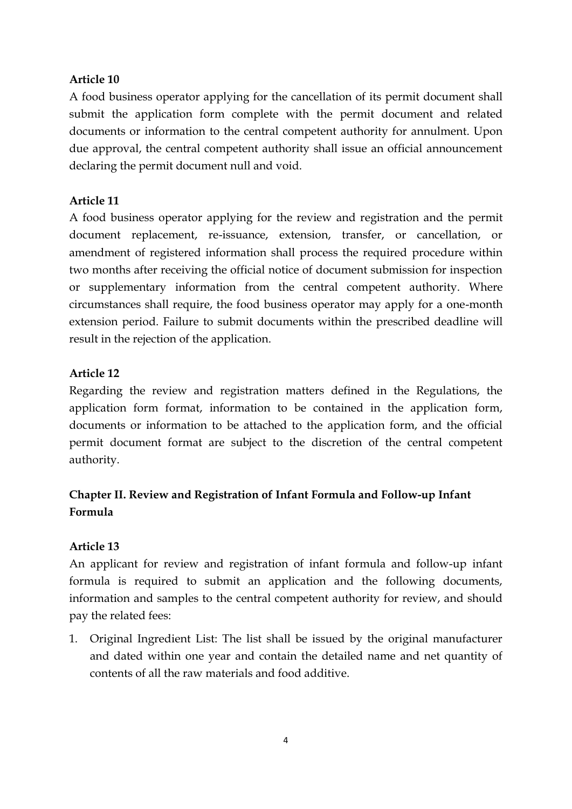### **Article 10**

A food business operator applying for the cancellation of its permit document shall submit the application form complete with the permit document and related documents or information to the central competent authority for annulment. Upon due approval, the central competent authority shall issue an official announcement declaring the permit document null and void.

### **Article 11**

A food business operator applying for the review and registration and the permit document replacement, re-issuance, extension, transfer, or cancellation, or amendment of registered information shall process the required procedure within two months after receiving the official notice of document submission for inspection or supplementary information from the central competent authority. Where circumstances shall require, the food business operator may apply for a one-month extension period. Failure to submit documents within the prescribed deadline will result in the rejection of the application.

### **Article 12**

Regarding the review and registration matters defined in the Regulations, the application form format, information to be contained in the application form, documents or information to be attached to the application form, and the official permit document format are subject to the discretion of the central competent authority.

# **Chapter II. Review and Registration of Infant Formula and Follow-up Infant Formula**

## **Article 13**

An applicant for review and registration of infant formula and follow-up infant formula is required to submit an application and the following documents, information and samples to the central competent authority for review, and should pay the related fees:

1. Original Ingredient List: The list shall be issued by the original manufacturer and dated within one year and contain the detailed name and net quantity of contents of all the raw materials and food additive.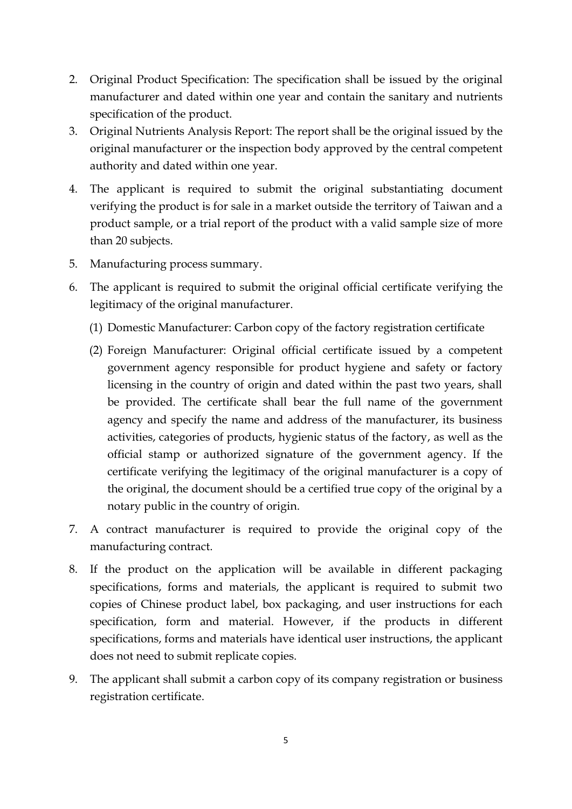- 2. Original Product Specification: The specification shall be issued by the original manufacturer and dated within one year and contain the sanitary and nutrients specification of the product.
- 3. Original Nutrients Analysis Report: The report shall be the original issued by the original manufacturer or the inspection body approved by the central competent authority and dated within one year.
- 4. The applicant is required to submit the original substantiating document verifying the product is for sale in a market outside the territory of Taiwan and a product sample, or a trial report of the product with a valid sample size of more than 20 subjects.
- 5. Manufacturing process summary.
- 6. The applicant is required to submit the original official certificate verifying the legitimacy of the original manufacturer.
	- (1) Domestic Manufacturer: Carbon copy of the factory registration certificate
	- (2) Foreign Manufacturer: Original official certificate issued by a competent government agency responsible for product hygiene and safety or factory licensing in the country of origin and dated within the past two years, shall be provided. The certificate shall bear the full name of the government agency and specify the name and address of the manufacturer, its business activities, categories of products, hygienic status of the factory, as well as the official stamp or authorized signature of the government agency. If the certificate verifying the legitimacy of the original manufacturer is a copy of the original, the document should be a certified true copy of the original by a notary public in the country of origin.
- 7. A contract manufacturer is required to provide the original copy of the manufacturing contract.
- 8. If the product on the application will be available in different packaging specifications, forms and materials, the applicant is required to submit two copies of Chinese product label, box packaging, and user instructions for each specification, form and material. However, if the products in different specifications, forms and materials have identical user instructions, the applicant does not need to submit replicate copies.
- 9. The applicant shall submit a carbon copy of its company registration or business registration certificate.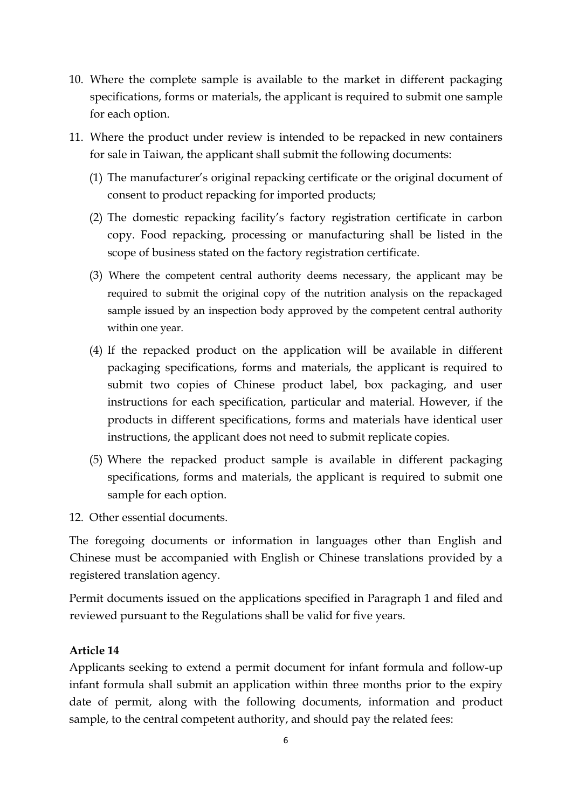- 10. Where the complete sample is available to the market in different packaging specifications, forms or materials, the applicant is required to submit one sample for each option.
- 11. Where the product under review is intended to be repacked in new containers for sale in Taiwan, the applicant shall submit the following documents:
	- (1) The manufacturer's original repacking certificate or the original document of consent to product repacking for imported products;
	- (2) The domestic repacking facility's factory registration certificate in carbon copy. Food repacking, processing or manufacturing shall be listed in the scope of business stated on the factory registration certificate.
	- (3) Where the competent central authority deems necessary, the applicant may be required to submit the original copy of the nutrition analysis on the repackaged sample issued by an inspection body approved by the competent central authority within one year.
	- (4) If the repacked product on the application will be available in different packaging specifications, forms and materials, the applicant is required to submit two copies of Chinese product label, box packaging, and user instructions for each specification, particular and material. However, if the products in different specifications, forms and materials have identical user instructions, the applicant does not need to submit replicate copies.
	- (5) Where the repacked product sample is available in different packaging specifications, forms and materials, the applicant is required to submit one sample for each option.
- 12. Other essential documents.

The foregoing documents or information in languages other than English and Chinese must be accompanied with English or Chinese translations provided by a registered translation agency.

Permit documents issued on the applications specified in Paragraph 1 and filed and reviewed pursuant to the Regulations shall be valid for five years.

### **Article 14**

Applicants seeking to extend a permit document for infant formula and follow-up infant formula shall submit an application within three months prior to the expiry date of permit, along with the following documents, information and product sample, to the central competent authority, and should pay the related fees: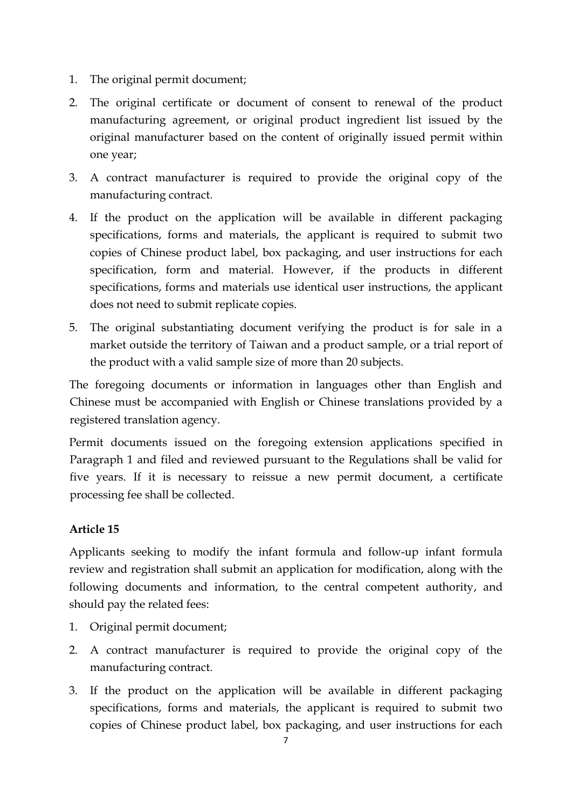- 1. The original permit document;
- 2. The original certificate or document of consent to renewal of the product manufacturing agreement, or original product ingredient list issued by the original manufacturer based on the content of originally issued permit within one year;
- 3. A contract manufacturer is required to provide the original copy of the manufacturing contract.
- 4. If the product on the application will be available in different packaging specifications, forms and materials, the applicant is required to submit two copies of Chinese product label, box packaging, and user instructions for each specification, form and material. However, if the products in different specifications, forms and materials use identical user instructions, the applicant does not need to submit replicate copies.
- 5. The original substantiating document verifying the product is for sale in a market outside the territory of Taiwan and a product sample, or a trial report of the product with a valid sample size of more than 20 subjects.

The foregoing documents or information in languages other than English and Chinese must be accompanied with English or Chinese translations provided by a registered translation agency.

Permit documents issued on the foregoing extension applications specified in Paragraph 1 and filed and reviewed pursuant to the Regulations shall be valid for five years. If it is necessary to reissue a new permit document, a certificate processing fee shall be collected.

# **Article 15**

Applicants seeking to modify the infant formula and follow-up infant formula review and registration shall submit an application for modification, along with the following documents and information, to the central competent authority, and should pay the related fees:

- 1. Original permit document;
- 2. A contract manufacturer is required to provide the original copy of the manufacturing contract.
- 3. If the product on the application will be available in different packaging specifications, forms and materials, the applicant is required to submit two copies of Chinese product label, box packaging, and user instructions for each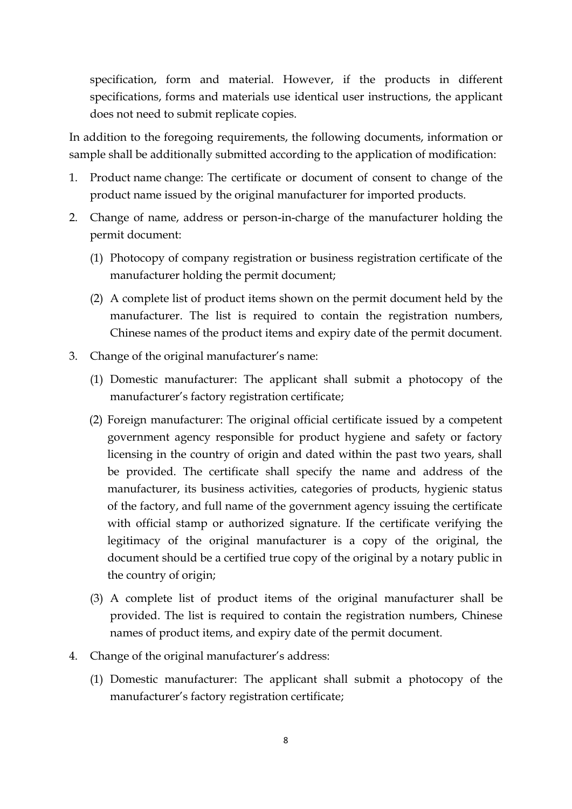specification, form and material. However, if the products in different specifications, forms and materials use identical user instructions, the applicant does not need to submit replicate copies.

In addition to the foregoing requirements, the following documents, information or sample shall be additionally submitted according to the application of modification:

- 1. Product name change: The certificate or document of consent to change of the product name issued by the original manufacturer for imported products.
- 2. Change of name, address or person-in-charge of the manufacturer holding the permit document:
	- (1) Photocopy of company registration or business registration certificate of the manufacturer holding the permit document;
	- (2) A complete list of product items shown on the permit document held by the manufacturer. The list is required to contain the registration numbers, Chinese names of the product items and expiry date of the permit document.
- 3. Change of the original manufacturer's name:
	- (1) Domestic manufacturer: The applicant shall submit a photocopy of the manufacturer's factory registration certificate;
	- (2) Foreign manufacturer: The original official certificate issued by a competent government agency responsible for product hygiene and safety or factory licensing in the country of origin and dated within the past two years, shall be provided. The certificate shall specify the name and address of the manufacturer, its business activities, categories of products, hygienic status of the factory, and full name of the government agency issuing the certificate with official stamp or authorized signature. If the certificate verifying the legitimacy of the original manufacturer is a copy of the original, the document should be a certified true copy of the original by a notary public in the country of origin;
	- (3) A complete list of product items of the original manufacturer shall be provided. The list is required to contain the registration numbers, Chinese names of product items, and expiry date of the permit document.
- 4. Change of the original manufacturer's address:
	- (1) Domestic manufacturer: The applicant shall submit a photocopy of the manufacturer's factory registration certificate;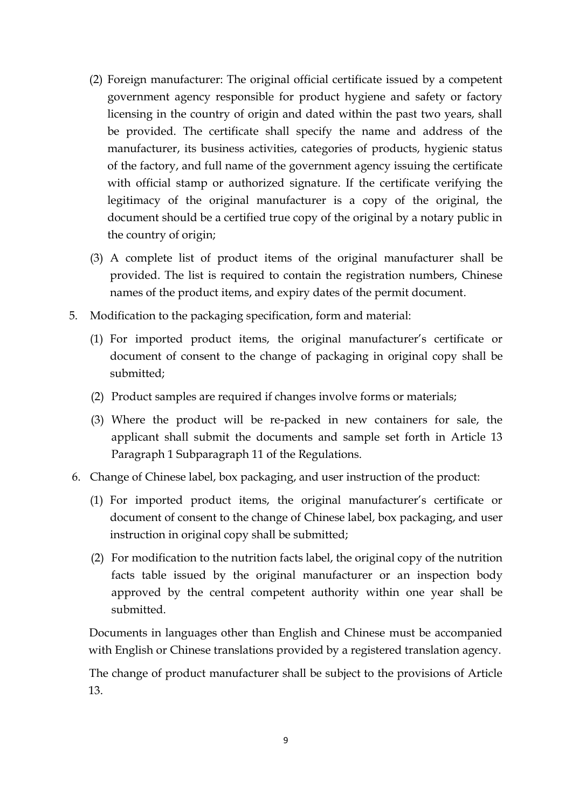- (2) Foreign manufacturer: The original official certificate issued by a competent government agency responsible for product hygiene and safety or factory licensing in the country of origin and dated within the past two years, shall be provided. The certificate shall specify the name and address of the manufacturer, its business activities, categories of products, hygienic status of the factory, and full name of the government agency issuing the certificate with official stamp or authorized signature. If the certificate verifying the legitimacy of the original manufacturer is a copy of the original, the document should be a certified true copy of the original by a notary public in the country of origin;
- (3) A complete list of product items of the original manufacturer shall be provided. The list is required to contain the registration numbers, Chinese names of the product items, and expiry dates of the permit document.
- 5. Modification to the packaging specification, form and material:
	- (1) For imported product items, the original manufacturer's certificate or document of consent to the change of packaging in original copy shall be submitted;
	- (2) Product samples are required if changes involve forms or materials;
	- (3) Where the product will be re-packed in new containers for sale, the applicant shall submit the documents and sample set forth in Article 13 Paragraph 1 Subparagraph 11 of the Regulations.
- 6. Change of Chinese label, box packaging, and user instruction of the product:
	- (1) For imported product items, the original manufacturer's certificate or document of consent to the change of Chinese label, box packaging, and user instruction in original copy shall be submitted;
	- (2) For modification to the nutrition facts label, the original copy of the nutrition facts table issued by the original manufacturer or an inspection body approved by the central competent authority within one year shall be submitted.

Documents in languages other than English and Chinese must be accompanied with English or Chinese translations provided by a registered translation agency.

The change of product manufacturer shall be subject to the provisions of Article 13.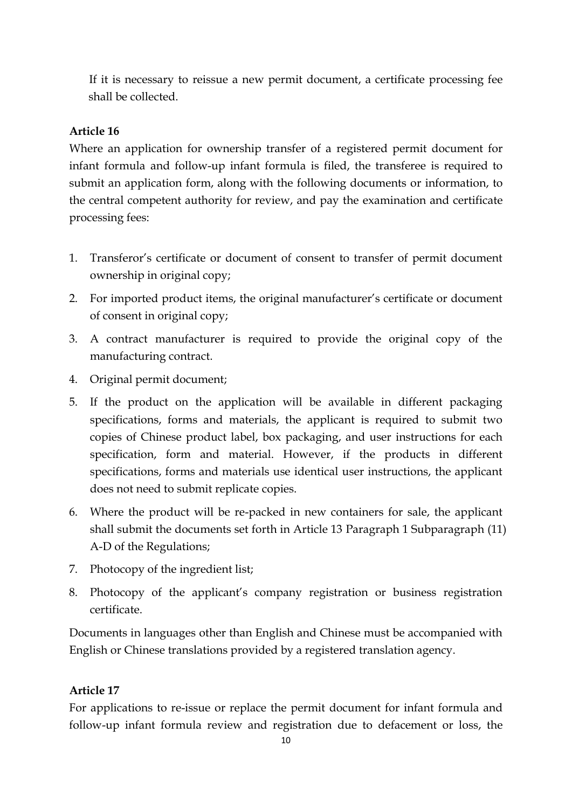If it is necessary to reissue a new permit document, a certificate processing fee shall be collected.

## **Article 16**

Where an application for ownership transfer of a registered permit document for infant formula and follow-up infant formula is filed, the transferee is required to submit an application form, along with the following documents or information, to the central competent authority for review, and pay the examination and certificate processing fees:

- 1. Transferor's certificate or document of consent to transfer of permit document ownership in original copy;
- 2. For imported product items, the original manufacturer's certificate or document of consent in original copy;
- 3. A contract manufacturer is required to provide the original copy of the manufacturing contract.
- 4. Original permit document;
- 5. If the product on the application will be available in different packaging specifications, forms and materials, the applicant is required to submit two copies of Chinese product label, box packaging, and user instructions for each specification, form and material. However, if the products in different specifications, forms and materials use identical user instructions, the applicant does not need to submit replicate copies.
- 6. Where the product will be re-packed in new containers for sale, the applicant shall submit the documents set forth in Article 13 Paragraph 1 Subparagraph (11) A-D of the Regulations;
- 7. Photocopy of the ingredient list;
- 8. Photocopy of the applicant's company registration or business registration certificate.

Documents in languages other than English and Chinese must be accompanied with English or Chinese translations provided by a registered translation agency.

# **Article 17**

For applications to re-issue or replace the permit document for infant formula and follow-up infant formula review and registration due to defacement or loss, the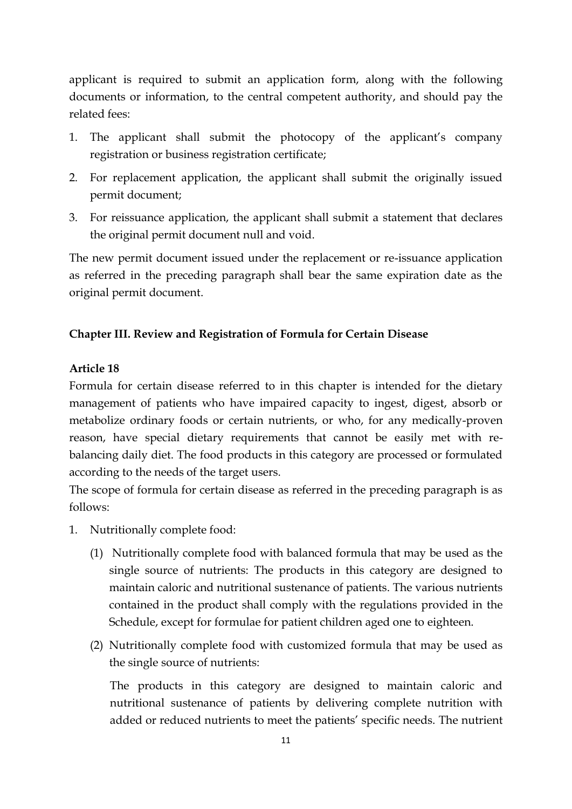applicant is required to submit an application form, along with the following documents or information, to the central competent authority, and should pay the related fees:

- 1. The applicant shall submit the photocopy of the applicant's company registration or business registration certificate;
- 2. For replacement application, the applicant shall submit the originally issued permit document;
- 3. For reissuance application, the applicant shall submit a statement that declares the original permit document null and void.

The new permit document issued under the replacement or re-issuance application as referred in the preceding paragraph shall bear the same expiration date as the original permit document.

### **Chapter III. Review and Registration of Formula for Certain Disease**

### **Article 18**

Formula for certain disease referred to in this chapter is intended for the dietary management of patients who have impaired capacity to ingest, digest, absorb or metabolize ordinary foods or certain nutrients, or who, for any medically-proven reason, have special dietary requirements that cannot be easily met with rebalancing daily diet. The food products in this category are processed or formulated according to the needs of the target users.

The scope of formula for certain disease as referred in the preceding paragraph is as follows:

- 1. Nutritionally complete food:
	- (1) Nutritionally complete food with balanced formula that may be used as the single source of nutrients: The products in this category are designed to maintain caloric and nutritional sustenance of patients. The various nutrients contained in the product shall comply with the regulations provided in the Schedule, except for formulae for patient children aged one to eighteen.
	- (2) Nutritionally complete food with customized formula that may be used as the single source of nutrients:

The products in this category are designed to maintain caloric and nutritional sustenance of patients by delivering complete nutrition with added or reduced nutrients to meet the patients' specific needs. The nutrient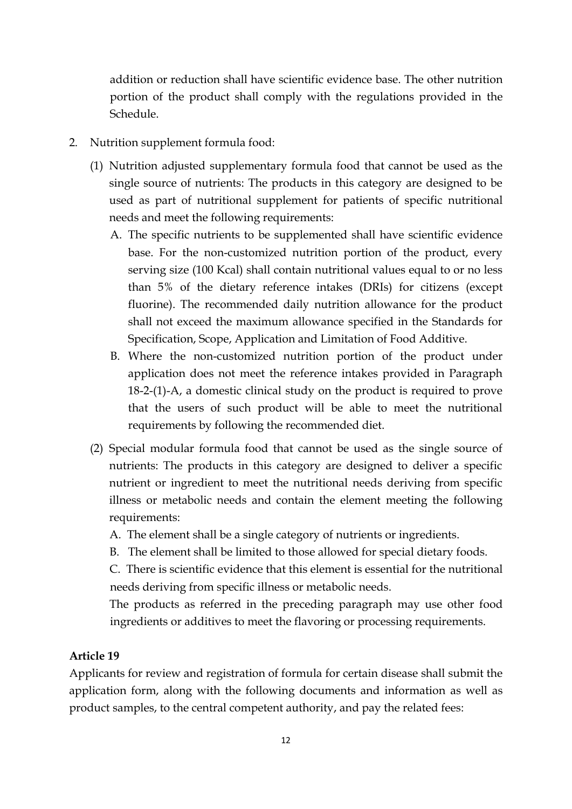addition or reduction shall have scientific evidence base. The other nutrition portion of the product shall comply with the regulations provided in the Schedule.

- 2. Nutrition supplement formula food:
	- (1) Nutrition adjusted supplementary formula food that cannot be used as the single source of nutrients: The products in this category are designed to be used as part of nutritional supplement for patients of specific nutritional needs and meet the following requirements:
		- A. The specific nutrients to be supplemented shall have scientific evidence base. For the non-customized nutrition portion of the product, every serving size (100 Kcal) shall contain nutritional values equal to or no less than 5% of the dietary reference intakes (DRIs) for citizens (except fluorine). The recommended daily nutrition allowance for the product shall not exceed the maximum allowance specified in the Standards for Specification, Scope, Application and Limitation of Food Additive.
		- B. Where the non-customized nutrition portion of the product under application does not meet the reference intakes provided in Paragraph 18-2-(1)-A, a domestic clinical study on the product is required to prove that the users of such product will be able to meet the nutritional requirements by following the recommended diet.
	- (2) Special modular formula food that cannot be used as the single source of nutrients: The products in this category are designed to deliver a specific nutrient or ingredient to meet the nutritional needs deriving from specific illness or metabolic needs and contain the element meeting the following requirements:
		- A. The element shall be a single category of nutrients or ingredients.
		- B. The element shall be limited to those allowed for special dietary foods.

C. There is scientific evidence that this element is essential for the nutritional needs deriving from specific illness or metabolic needs.

The products as referred in the preceding paragraph may use other food ingredients or additives to meet the flavoring or processing requirements.

#### **Article 19**

Applicants for review and registration of formula for certain disease shall submit the application form, along with the following documents and information as well as product samples, to the central competent authority, and pay the related fees: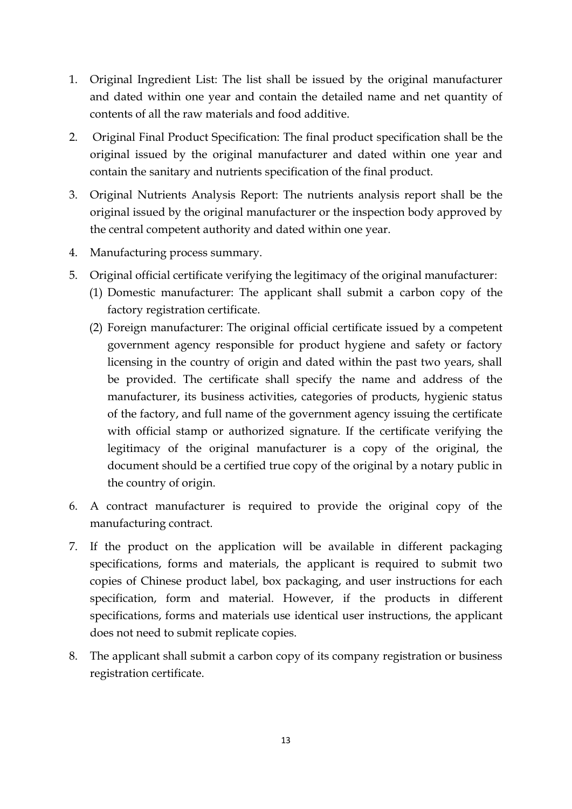- 1. Original Ingredient List: The list shall be issued by the original manufacturer and dated within one year and contain the detailed name and net quantity of contents of all the raw materials and food additive.
- 2. Original Final Product Specification: The final product specification shall be the original issued by the original manufacturer and dated within one year and contain the sanitary and nutrients specification of the final product.
- 3. Original Nutrients Analysis Report: The nutrients analysis report shall be the original issued by the original manufacturer or the inspection body approved by the central competent authority and dated within one year.
- 4. Manufacturing process summary.
- 5. Original official certificate verifying the legitimacy of the original manufacturer:
	- (1) Domestic manufacturer: The applicant shall submit a carbon copy of the factory registration certificate.
	- (2) Foreign manufacturer: The original official certificate issued by a competent government agency responsible for product hygiene and safety or factory licensing in the country of origin and dated within the past two years, shall be provided. The certificate shall specify the name and address of the manufacturer, its business activities, categories of products, hygienic status of the factory, and full name of the government agency issuing the certificate with official stamp or authorized signature. If the certificate verifying the legitimacy of the original manufacturer is a copy of the original, the document should be a certified true copy of the original by a notary public in the country of origin.
- 6. A contract manufacturer is required to provide the original copy of the manufacturing contract.
- 7. If the product on the application will be available in different packaging specifications, forms and materials, the applicant is required to submit two copies of Chinese product label, box packaging, and user instructions for each specification, form and material. However, if the products in different specifications, forms and materials use identical user instructions, the applicant does not need to submit replicate copies.
- 8. The applicant shall submit a carbon copy of its company registration or business registration certificate.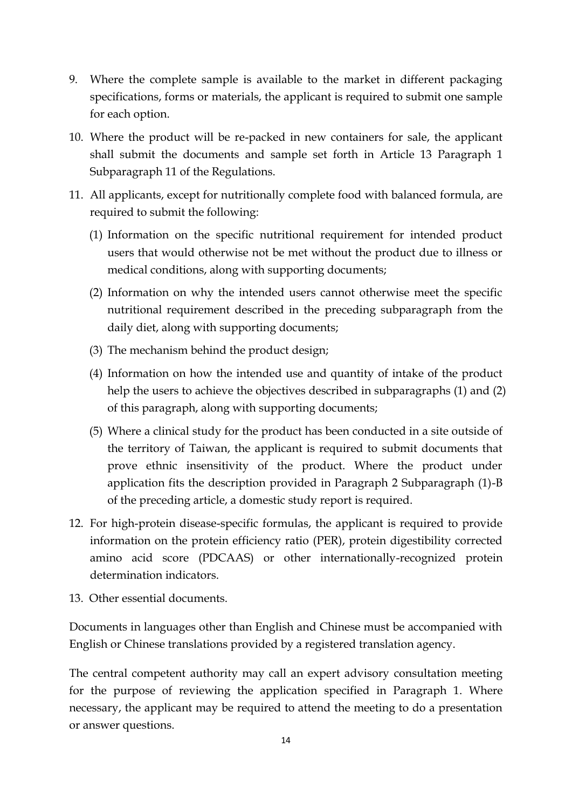- 9. Where the complete sample is available to the market in different packaging specifications, forms or materials, the applicant is required to submit one sample for each option.
- 10. Where the product will be re-packed in new containers for sale, the applicant shall submit the documents and sample set forth in Article 13 Paragraph 1 Subparagraph 11 of the Regulations.
- 11. All applicants, except for nutritionally complete food with balanced formula, are required to submit the following:
	- (1) Information on the specific nutritional requirement for intended product users that would otherwise not be met without the product due to illness or medical conditions, along with supporting documents;
	- (2) Information on why the intended users cannot otherwise meet the specific nutritional requirement described in the preceding subparagraph from the daily diet, along with supporting documents;
	- (3) The mechanism behind the product design;
	- (4) Information on how the intended use and quantity of intake of the product help the users to achieve the objectives described in subparagraphs (1) and (2) of this paragraph, along with supporting documents;
	- (5) Where a clinical study for the product has been conducted in a site outside of the territory of Taiwan, the applicant is required to submit documents that prove ethnic insensitivity of the product. Where the product under application fits the description provided in Paragraph 2 Subparagraph (1)-B of the preceding article, a domestic study report is required.
- 12. For high-protein disease-specific formulas, the applicant is required to provide information on the protein efficiency ratio (PER), protein digestibility corrected amino acid score (PDCAAS) or other internationally-recognized protein determination indicators.
- 13. Other essential documents.

Documents in languages other than English and Chinese must be accompanied with English or Chinese translations provided by a registered translation agency.

The central competent authority may call an expert advisory consultation meeting for the purpose of reviewing the application specified in Paragraph 1. Where necessary, the applicant may be required to attend the meeting to do a presentation or answer questions.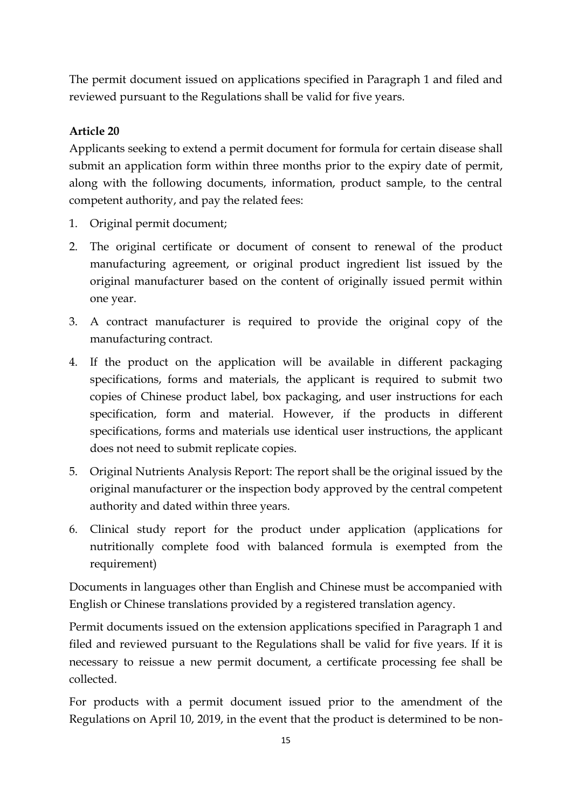The permit document issued on applications specified in Paragraph 1 and filed and reviewed pursuant to the Regulations shall be valid for five years.

# **Article 20**

Applicants seeking to extend a permit document for formula for certain disease shall submit an application form within three months prior to the expiry date of permit, along with the following documents, information, product sample, to the central competent authority, and pay the related fees:

- 1. Original permit document;
- 2. The original certificate or document of consent to renewal of the product manufacturing agreement, or original product ingredient list issued by the original manufacturer based on the content of originally issued permit within one year.
- 3. A contract manufacturer is required to provide the original copy of the manufacturing contract.
- 4. If the product on the application will be available in different packaging specifications, forms and materials, the applicant is required to submit two copies of Chinese product label, box packaging, and user instructions for each specification, form and material. However, if the products in different specifications, forms and materials use identical user instructions, the applicant does not need to submit replicate copies.
- 5. Original Nutrients Analysis Report: The report shall be the original issued by the original manufacturer or the inspection body approved by the central competent authority and dated within three years.
- 6. Clinical study report for the product under application (applications for nutritionally complete food with balanced formula is exempted from the requirement)

Documents in languages other than English and Chinese must be accompanied with English or Chinese translations provided by a registered translation agency.

Permit documents issued on the extension applications specified in Paragraph 1 and filed and reviewed pursuant to the Regulations shall be valid for five years. If it is necessary to reissue a new permit document, a certificate processing fee shall be collected.

For products with a permit document issued prior to the amendment of the Regulations on April 10, 2019, in the event that the product is determined to be non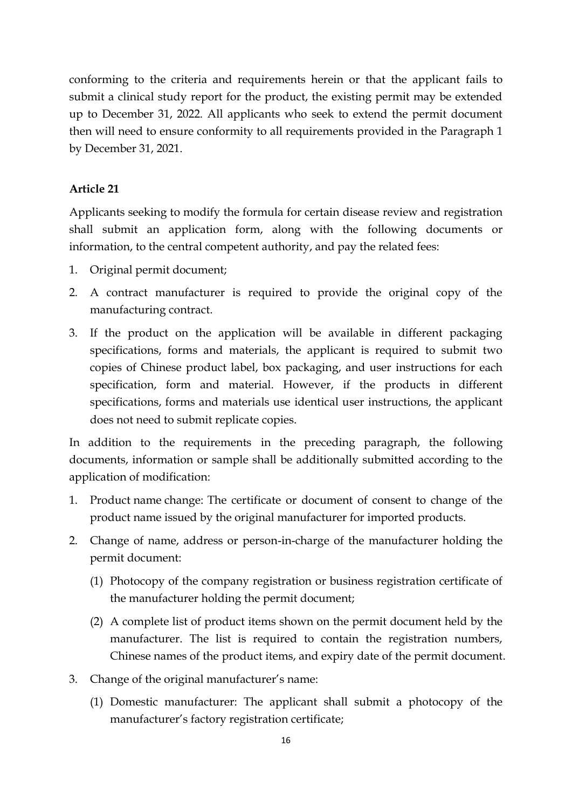conforming to the criteria and requirements herein or that the applicant fails to submit a clinical study report for the product, the existing permit may be extended up to December 31, 2022. All applicants who seek to extend the permit document then will need to ensure conformity to all requirements provided in the Paragraph 1 by December 31, 2021.

#### **Article 21**

Applicants seeking to modify the formula for certain disease review and registration shall submit an application form, along with the following documents or information, to the central competent authority, and pay the related fees:

- 1. Original permit document;
- 2. A contract manufacturer is required to provide the original copy of the manufacturing contract.
- 3. If the product on the application will be available in different packaging specifications, forms and materials, the applicant is required to submit two copies of Chinese product label, box packaging, and user instructions for each specification, form and material. However, if the products in different specifications, forms and materials use identical user instructions, the applicant does not need to submit replicate copies.

In addition to the requirements in the preceding paragraph, the following documents, information or sample shall be additionally submitted according to the application of modification:

- 1. Product name change: The certificate or document of consent to change of the product name issued by the original manufacturer for imported products.
- 2. Change of name, address or person-in-charge of the manufacturer holding the permit document:
	- (1) Photocopy of the company registration or business registration certificate of the manufacturer holding the permit document;
	- (2) A complete list of product items shown on the permit document held by the manufacturer. The list is required to contain the registration numbers, Chinese names of the product items, and expiry date of the permit document.
- 3. Change of the original manufacturer's name:
	- (1) Domestic manufacturer: The applicant shall submit a photocopy of the manufacturer's factory registration certificate;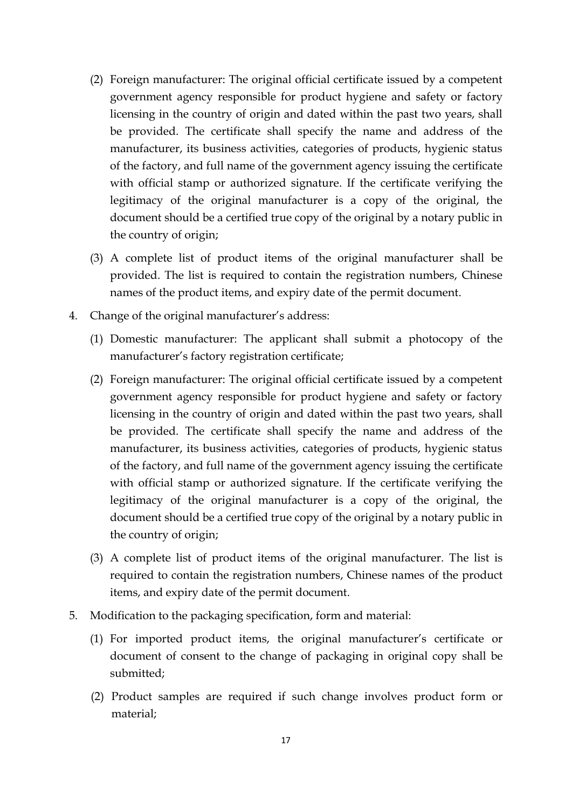- (2) Foreign manufacturer: The original official certificate issued by a competent government agency responsible for product hygiene and safety or factory licensing in the country of origin and dated within the past two years, shall be provided. The certificate shall specify the name and address of the manufacturer, its business activities, categories of products, hygienic status of the factory, and full name of the government agency issuing the certificate with official stamp or authorized signature. If the certificate verifying the legitimacy of the original manufacturer is a copy of the original, the document should be a certified true copy of the original by a notary public in the country of origin;
- (3) A complete list of product items of the original manufacturer shall be provided. The list is required to contain the registration numbers, Chinese names of the product items, and expiry date of the permit document.
- 4. Change of the original manufacturer's address:
	- (1) Domestic manufacturer: The applicant shall submit a photocopy of the manufacturer's factory registration certificate;
	- (2) Foreign manufacturer: The original official certificate issued by a competent government agency responsible for product hygiene and safety or factory licensing in the country of origin and dated within the past two years, shall be provided. The certificate shall specify the name and address of the manufacturer, its business activities, categories of products, hygienic status of the factory, and full name of the government agency issuing the certificate with official stamp or authorized signature. If the certificate verifying the legitimacy of the original manufacturer is a copy of the original, the document should be a certified true copy of the original by a notary public in the country of origin;
	- (3) A complete list of product items of the original manufacturer. The list is required to contain the registration numbers, Chinese names of the product items, and expiry date of the permit document.
- 5. Modification to the packaging specification, form and material:
	- (1) For imported product items, the original manufacturer's certificate or document of consent to the change of packaging in original copy shall be submitted;
	- (2) Product samples are required if such change involves product form or material;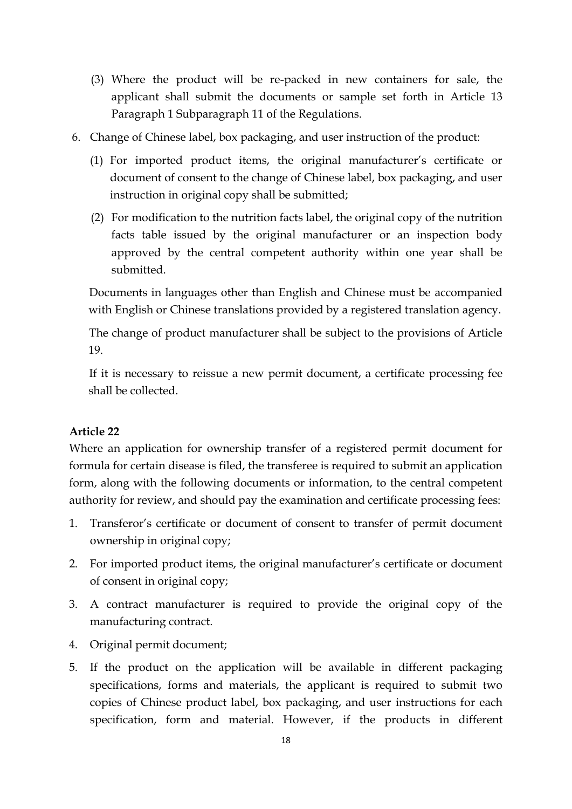- (3) Where the product will be re-packed in new containers for sale, the applicant shall submit the documents or sample set forth in Article 13 Paragraph 1 Subparagraph 11 of the Regulations.
- 6. Change of Chinese label, box packaging, and user instruction of the product:
	- (1) For imported product items, the original manufacturer's certificate or document of consent to the change of Chinese label, box packaging, and user instruction in original copy shall be submitted;
	- (2) For modification to the nutrition facts label, the original copy of the nutrition facts table issued by the original manufacturer or an inspection body approved by the central competent authority within one year shall be submitted.

Documents in languages other than English and Chinese must be accompanied with English or Chinese translations provided by a registered translation agency.

The change of product manufacturer shall be subject to the provisions of Article 19.

If it is necessary to reissue a new permit document, a certificate processing fee shall be collected.

### **Article 22**

Where an application for ownership transfer of a registered permit document for formula for certain disease is filed, the transferee is required to submit an application form, along with the following documents or information, to the central competent authority for review, and should pay the examination and certificate processing fees:

- 1. Transferor's certificate or document of consent to transfer of permit document ownership in original copy;
- 2. For imported product items, the original manufacturer's certificate or document of consent in original copy;
- 3. A contract manufacturer is required to provide the original copy of the manufacturing contract.
- 4. Original permit document;
- 5. If the product on the application will be available in different packaging specifications, forms and materials, the applicant is required to submit two copies of Chinese product label, box packaging, and user instructions for each specification, form and material. However, if the products in different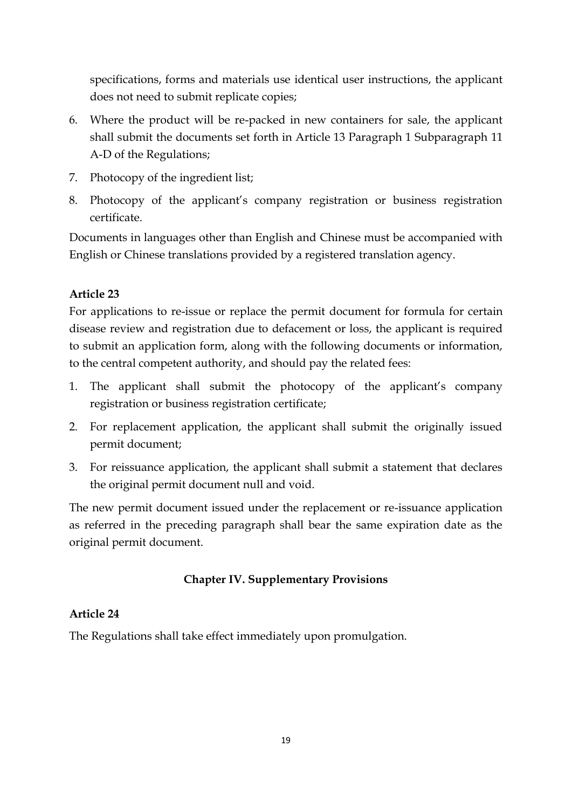specifications, forms and materials use identical user instructions, the applicant does not need to submit replicate copies;

- 6. Where the product will be re-packed in new containers for sale, the applicant shall submit the documents set forth in Article 13 Paragraph 1 Subparagraph 11 A-D of the Regulations;
- 7. Photocopy of the ingredient list;
- 8. Photocopy of the applicant's company registration or business registration certificate.

Documents in languages other than English and Chinese must be accompanied with English or Chinese translations provided by a registered translation agency.

## **Article 23**

For applications to re-issue or replace the permit document for formula for certain disease review and registration due to defacement or loss, the applicant is required to submit an application form, along with the following documents or information, to the central competent authority, and should pay the related fees:

- 1. The applicant shall submit the photocopy of the applicant's company registration or business registration certificate;
- 2. For replacement application, the applicant shall submit the originally issued permit document;
- 3. For reissuance application, the applicant shall submit a statement that declares the original permit document null and void.

The new permit document issued under the replacement or re-issuance application as referred in the preceding paragraph shall bear the same expiration date as the original permit document.

## **Chapter IV. Supplementary Provisions**

## **Article 24**

The Regulations shall take effect immediately upon promulgation.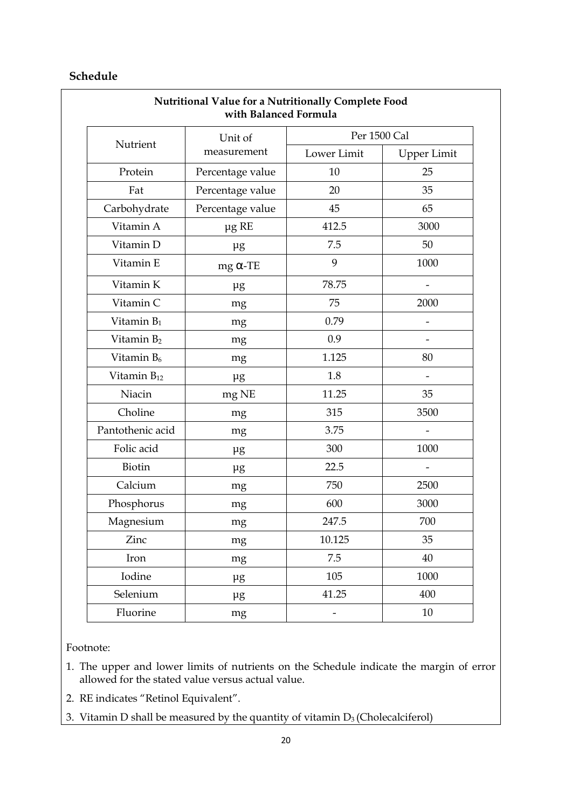### **Schedule**

| Nutritional Value for a Nutritionally Complete Food<br>with Balanced Formula |                        |              |             |
|------------------------------------------------------------------------------|------------------------|--------------|-------------|
| Nutrient                                                                     | Unit of<br>measurement | Per 1500 Cal |             |
|                                                                              |                        | Lower Limit  | Upper Limit |
| Protein                                                                      | Percentage value       | 10           | 25          |
| Fat                                                                          | Percentage value       | 20           | 35          |
| Carbohydrate                                                                 | Percentage value       | 45           | 65          |
| Vitamin A                                                                    | $\mu$ g RE             | 412.5        | 3000        |
| Vitamin D                                                                    | $\mu$ g                | 7.5          | 50          |
| Vitamin E                                                                    | $mg \alpha$ -TE        | 9            | 1000        |
| Vitamin K                                                                    | $\mu$ g                | 78.75        |             |
| Vitamin C                                                                    | mg                     | 75           | 2000        |
| Vitamin $B_1$                                                                | mg                     | 0.79         |             |
| Vitamin B <sub>2</sub>                                                       | mg                     | 0.9          |             |
| Vitamin B <sub>6</sub>                                                       | mg                     | 1.125        | 80          |
| Vitamin $B_{12}$                                                             | $\mu$ g                | 1.8          |             |
| Niacin                                                                       | mg NE                  | 11.25        | 35          |
| Choline                                                                      | mg                     | 315          | 3500        |
| Pantothenic acid                                                             | mg                     | 3.75         |             |
| Folic acid                                                                   | μg                     | 300          | 1000        |
| Biotin                                                                       | $\mu$ g                | 22.5         |             |
| Calcium                                                                      | mg                     | 750          | 2500        |
| Phosphorus                                                                   | mg                     | 600          | 3000        |
| Magnesium                                                                    | mg                     | 247.5        | 700         |
| Zinc                                                                         | mg                     | 10.125       | 35          |
| Iron                                                                         | mg                     | 7.5          | 40          |
| Iodine                                                                       | $\mu$ g                | 105          | 1000        |
| Selenium                                                                     | $\mu$ g                | 41.25        | 400         |
| Fluorine                                                                     | mg                     |              | 10          |

Footnote:

1. The upper and lower limits of nutrients on the Schedule indicate the margin of error allowed for the stated value versus actual value.

2. RE indicates "Retinol Equivalent".

3. Vitamin D shall be measured by the quantity of vitamin  $D_3$  (Cholecalciferol)